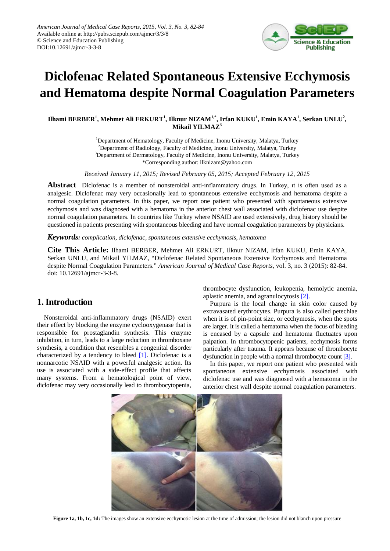

# **Diclofenac Related Spontaneous Extensive Ecchymosis and Hematoma despite Normal Coagulation Parameters**

 ${\bf I}$ lhami BERBER $^1$ , Mehmet Ali ERKURT $^1$ , Ilknur NIZAM $^{1,*}$ , Irfan KUKU $^1$ , Emin KAYA $^1$ , Serkan UNLU $^2$ , **Mikail YILMAZ3**

> <sup>1</sup>Department of Hematology, Faculty of Medicine, Inonu University, Malatya, Turkey <sup>2</sup>Department of Radiology, Faculty of Medicine, Inonu University, Malatya, Turkey <sup>3</sup>Department of Dermatology, Faculty of Medicine, Inonu University, Malatya, Turkey \*Corresponding author: ilknizam@yahoo.com

*Received January 11, 2015; Revised February 05, 2015; Accepted February 12, 2015*

**Abstract** Diclofenac is a member of nonsteroidal anti-inflammatory drugs. In Turkey, ıt is often used as a analgesic. Diclofenac may very occasionally lead to spontaneous extensive ecchymosis and hematoma despite a normal coagulation parameters. In this paper, we report one patient who presented with spontaneous extensive ecchymosis and was diagnosed with a hematoma in the anterior chest wall associated with diclofenac use despite normal coagulation parameters. In countries like Turkey where NSAID are used extensively, drug history should be questioned in patients presenting with spontaneous bleeding and have normal coagulation parameters by physicians.

*Keywords: complication, diclofenac, spontaneous extensive ecchymosis, hematoma*

**Cite This Article:** Ilhami BERBER, Mehmet Ali ERKURT, Ilknur NIZAM, Irfan KUKU, Emin KAYA, Serkan UNLU, and Mikail YILMAZ, "Diclofenac Related Spontaneous Extensive Ecchymosis and Hematoma despite Normal Coagulation Parameters." *American Journal of Medical Case Reports*, vol. 3, no. 3 (2015): 82-84. doi: 10.12691/ajmcr-3-3-8.

## **1. Introduction**

Nonsteroidal anti-inflammatory drugs (NSAID) exert their effect by blocking the enzyme cyclooxygenase that is responsible for prostaglandin synthesis. This enzyme inhibition, in turn, leads to a large reduction in thromboxane synthesis, a condition that resembles a congenital disorder characterized by a tendency to bleed [\[1\].](#page-2-0) Diclofenac is a nonnarcotic NSAID with a powerful analgesic action. Its use is associated with a side-effect profile that affects many systems. From a hematological point of view, diclofenac may very occasionally lead to thrombocytopenia,

thrombocyte dysfunction, leukopenia, hemolytic anemia, aplastic anemia, and agranulocytosis [\[2\].](#page-2-1)

Purpura is the local change in skin color caused by extravasated erythrocytes. Purpura is also called petechiae when it is of pin-point size, or ecchymosis, when the spots are larger. It is called a hematoma when the focus of bleeding is encased by a capsule and hematoma fluctuates upon palpation. In thrombocytopenic patients, ecchymosis forms particularly after trauma. It appears because of thrombocyte dysfunction in people with a normal thrombocyte coun[t \[3\].](#page-2-2)

In this paper, we report one patient who presented with spontaneous extensive ecchymosis associated with diclofenac use and was diagnosed with a hematoma in the anterior chest wall despite normal coagulation parameters.

<span id="page-0-0"></span>

**Figure 1a, 1b, 1c, 1d:** The images show an extensive ecchymotic lesion at the time of admission; the lesion did not blanch upon pressure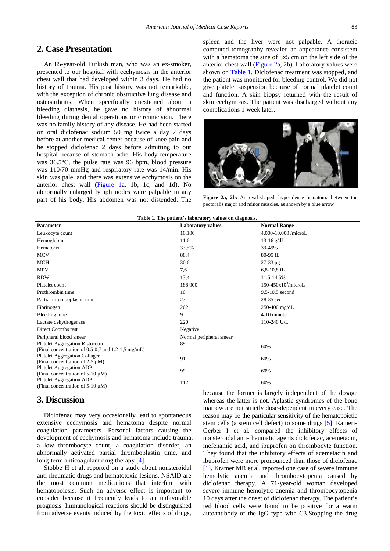# **2. Case Presentation**

An 85-year-old Turkish man, who was an ex-smoker, presented to our hospital with ecchymosis in the anterior chest wall that had developed within 3 days. He had no history of trauma. His past history was not remarkable, with the exception of chronic obstructive lung disease and osteoarthritis. When specifically questioned about a bleeding diathesis, he gave no history of abnormal bleeding during dental operations or circumcision. There was no family history of any disease. He had been started on oral diclofenac sodium 50 mg twice a day 7 days before at another medical center because of knee pain and he stopped diclofenac 2 days before admitting to our hospital because of stomach ache. His body temperature was 36.5°C, the pulse rate was 96 bpm, blood pressure was 110/70 mmHg and respiratory rate was 14/min. His skin was pale, and there was extensive ecchymosis on the anterior chest wall [\(Figure 1a](#page-0-0), 1b, 1c, and 1d). No abnormally enlarged lymph nodes were palpable in any part of his body. His abdomen was not distended. The

spleen and the liver were not palpable. A thoracic computed tomography revealed an appearance consistent with a hematoma the size of 8x5 cm on the left side of the anterior chest wall [\(Figure 2a](#page-1-0), 2b). Laboratory values were shown on [Table 1.](#page-1-1) Diclofenac treatment was stopped, and the patient was monitored for bleeding control. We did not give platelet suspension because of normal platelet count and function. A skin biopsy returned with the result of skin ecchymosis. The patient was discharged without any complications 1 week later.

<span id="page-1-0"></span>

**Figure 2a, 2b:** An oval-shaped, hyper-dense hematoma between the pectoralis major and minor muscles, as shown by a blue arrow

<span id="page-1-1"></span>

| Parameter                                                         | rabit 1. The patient's laboratory values on ulagilosis.<br><b>Laboratory values</b> | <b>Normal Range</b>  |
|-------------------------------------------------------------------|-------------------------------------------------------------------------------------|----------------------|
| Leukocyte count                                                   | 10.100                                                                              | 4.000-10.000/microL  |
| Hemoglobin                                                        | 11.6                                                                                | $13-16$ g/dL         |
| Hematocrit                                                        | 33,5%                                                                               | 39-49%               |
| <b>MCV</b>                                                        | 88,4                                                                                | 80-95 fL             |
| MCH                                                               | 30,6                                                                                | $27-33$ pg           |
| <b>MPV</b>                                                        | 7,6                                                                                 | $6,8-10,8$ fL        |
| <b>RDW</b>                                                        | 13,4                                                                                | 11,5-14,5%           |
| Platelet count                                                    | 188.000                                                                             | $150-450x103/microL$ |
| Prothrombin time                                                  | 10                                                                                  | 9.5-10.5 second      |
| Partial thromboplastin time                                       | 27                                                                                  | 28-35 sec            |
| Fibrinogen                                                        | 262                                                                                 | 250-400 mg/dL        |
| Bleeding time                                                     | 9                                                                                   | 4-10 minute          |
| Lactate dehydrogenase                                             | 220                                                                                 | 110-240 U/L          |
| Direct Coombs test                                                | Negative                                                                            |                      |
| Peripheral blood smear                                            | Normal peripheral smear                                                             |                      |
| <b>Platelet Aggregation Ristocetin</b>                            | 89                                                                                  | 60%                  |
| (Final concentration of $0,5-0,7$ and $1,2-1,5$ mg/mL)            |                                                                                     |                      |
| Platelet Aggregation Collagen                                     | 91                                                                                  | 60%                  |
| (Final concentration of $2-5 \mu M$ )<br>Platelet Aggregation ADP |                                                                                     |                      |
| (Final concentration of $5-10 \mu M$ )                            | 99                                                                                  | 60%                  |
| Platelet Aggregation ADP                                          | 112                                                                                 | 60%                  |
| (Final concentration of $5-10 \mu M$ )                            |                                                                                     |                      |

#### **Table 1. The patient's laboratory values on diagnosis.**

# **3. Discussion**

Diclofenac may very occasionally lead to spontaneous extensive ecchymosis and hematoma despite normal coagulation parameters. Personal factors causing the development of ecchymosis and hematoma include trauma, a low thrombocyte count, a coagulation disorder, an abnormally activated partial thromboplastin time, and long-term anticoagulant drug therapy [\[4\].](#page-2-3)

Stobbe H et al. reported on a study about nonsteroidal anti-rheumatic drugs and hematotoxic lesions. NSAID are the most common medications that interfere with hematopoiesis. Such an adverse effect is important to consider because it frequently leads to an unfavorable prognosis. Immunological reactions should be distinguished from adverse events induced by the toxic effects of drugs,

because the former is largely independent of the dosage whereas the latter is not. Aplastic syndromes of the bone marrow are not strictly dose-dependent in every case. The reason may be the particular sensitivity of the hematopoietic stem cells (a stem cell defect) to some drugs [\[5\].](#page-2-4) Raineri-Gerber I et al. compared the inhibitory effects of nonsteroidal anti-rheumatic agents diclofenac, acemetacin, mefenamic acid, and ibuprofen on thrombocyte function. They found that the inhibitory effects of acemetacin and ibuprofen were more pronounced than those of diclofenac [\[1\].](#page-2-0) Kramer MR et al. reported one case of severe immune hemolytic anemia and thrombocytopenia caused by diclofenac therapy. A 71-year-old woman developed severe immune hemolytic anemia and thrombocytopenia 10 days after the onset of diclofenac therapy. The patient's red blood cells were found to be positive for a warm autoantibody of the IgG type with C3.Stopping the drug